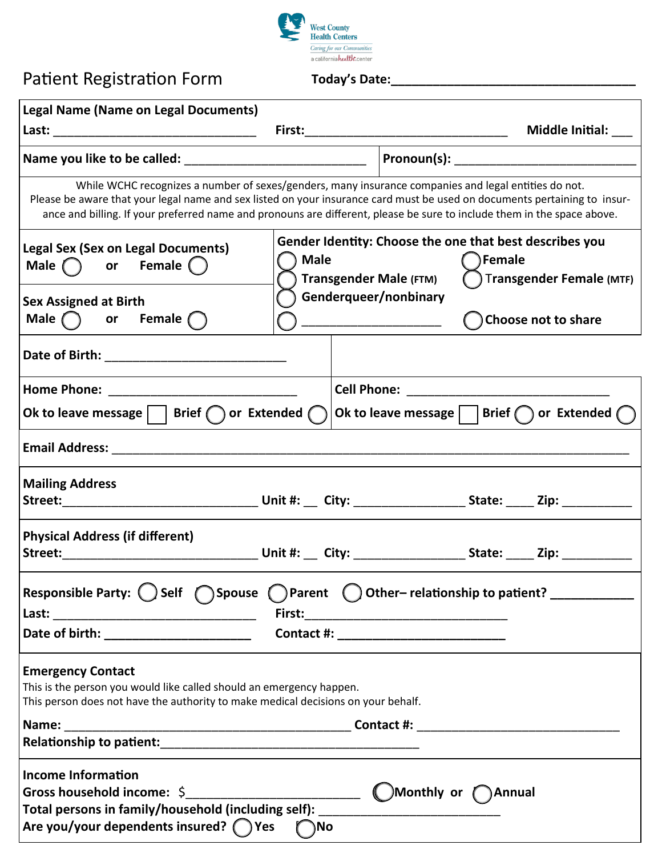

## Patient Registration Form

**Today's Date:\_\_\_\_\_\_\_\_\_\_\_\_\_\_\_\_\_\_\_\_\_\_\_\_\_\_\_\_\_\_\_\_\_\_\_**

| <b>Legal Name (Name on Legal Documents)</b>                                                                                                                                                                                                                                                                                                                  |                                              |                                                                    |                          |  |
|--------------------------------------------------------------------------------------------------------------------------------------------------------------------------------------------------------------------------------------------------------------------------------------------------------------------------------------------------------------|----------------------------------------------|--------------------------------------------------------------------|--------------------------|--|
|                                                                                                                                                                                                                                                                                                                                                              |                                              |                                                                    | Middle Initial:          |  |
|                                                                                                                                                                                                                                                                                                                                                              |                                              |                                                                    |                          |  |
| While WCHC recognizes a number of sexes/genders, many insurance companies and legal entities do not.<br>Please be aware that your legal name and sex listed on your insurance card must be used on documents pertaining to insur-<br>ance and billing. If your preferred name and pronouns are different, please be sure to include them in the space above. |                                              |                                                                    |                          |  |
| <b>Legal Sex (Sex on Legal Documents)</b><br>Male or Female $\bigcap$                                                                                                                                                                                                                                                                                        | <b>Male</b><br><b>Transgender Male (FTM)</b> | Gender Identity: Choose the one that best describes you<br>)Female | Transgender Female (MTF) |  |
| <b>Sex Assigned at Birth</b><br>Male $\bigcap$ or Female $\bigcap$                                                                                                                                                                                                                                                                                           | Genderqueer/nonbinary                        |                                                                    | Choose not to share      |  |
|                                                                                                                                                                                                                                                                                                                                                              |                                              |                                                                    |                          |  |
| Ok to leave message $ $   Brief $\bigcap$ or Extended $\bigcap$                                                                                                                                                                                                                                                                                              |                                              | Ok to leave message     Brief $\bigcap$ or Extended $\bigcap$      |                          |  |
|                                                                                                                                                                                                                                                                                                                                                              |                                              |                                                                    |                          |  |
| <b>Mailing Address</b>                                                                                                                                                                                                                                                                                                                                       |                                              |                                                                    |                          |  |
| <b>Physical Address (if different)</b>                                                                                                                                                                                                                                                                                                                       |                                              |                                                                    |                          |  |
| Responsible Party: $\bigcirc$ Self $\bigcirc$ Spouse $\bigcirc$ Parent $\bigcirc$ Other-relationship to patient? ____________                                                                                                                                                                                                                                |                                              |                                                                    |                          |  |
| Date of birth: ________________________                                                                                                                                                                                                                                                                                                                      |                                              |                                                                    |                          |  |
| <b>Emergency Contact</b><br>This is the person you would like called should an emergency happen.<br>This person does not have the authority to make medical decisions on your behalf.                                                                                                                                                                        |                                              |                                                                    |                          |  |
| <b>Income Information</b><br>Total persons in family/household (including self): ____________________________<br>Are you/your dependents insured? $\bigcap$ Yes                                                                                                                                                                                              | $\n  No\n$                                   |                                                                    |                          |  |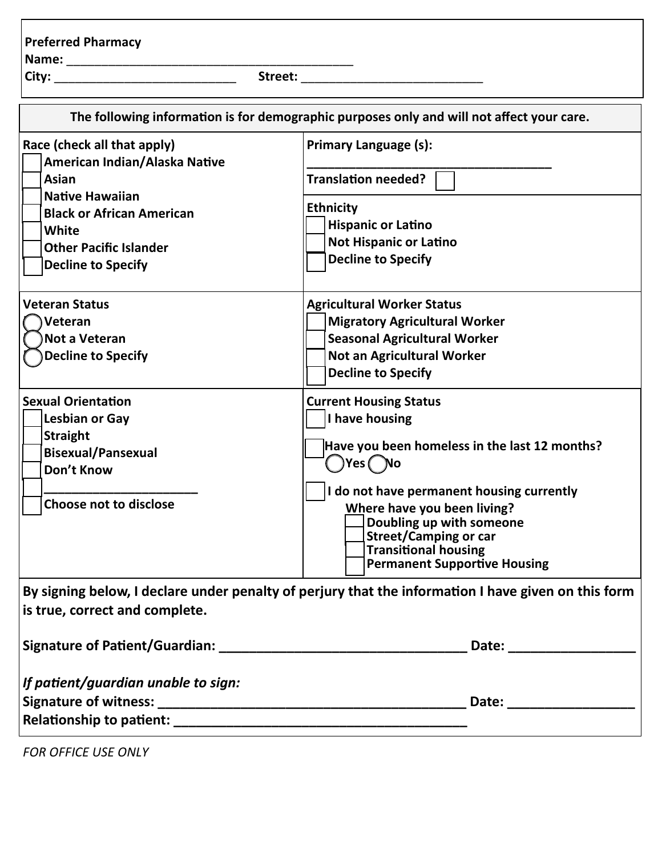## **Preferred Pharmacy**

**Name:** \_\_\_\_\_\_\_\_\_\_\_\_\_\_\_\_\_\_\_\_\_\_\_\_\_\_\_\_\_\_\_\_\_\_\_\_\_\_\_\_\_

**City:** \_\_\_\_\_\_\_\_\_\_\_\_\_\_\_\_\_\_\_\_\_\_\_\_\_\_ **Street:** \_\_\_\_\_\_\_\_\_\_\_\_\_\_\_\_\_\_\_\_\_\_\_\_\_\_

| The following information is for demographic purposes only and will not affect your care.                                                                                                                         |                                                                                                                                                                                                                                                                                                                           |  |  |
|-------------------------------------------------------------------------------------------------------------------------------------------------------------------------------------------------------------------|---------------------------------------------------------------------------------------------------------------------------------------------------------------------------------------------------------------------------------------------------------------------------------------------------------------------------|--|--|
| Race (check all that apply)<br>American Indian/Alaska Native<br><b>Asian</b><br><b>Native Hawaiian</b><br><b>Black or African American</b><br>White<br><b>Other Pacific Islander</b><br><b>Decline to Specify</b> | <b>Primary Language (s):</b><br><b>Translation needed?</b>                                                                                                                                                                                                                                                                |  |  |
|                                                                                                                                                                                                                   | <b>Ethnicity</b><br><b>Hispanic or Latino</b><br><b>Not Hispanic or Latino</b><br><b>Decline to Specify</b>                                                                                                                                                                                                               |  |  |
| <b>Veteran Status</b><br>Veteran<br>Not a Veteran<br><b>Decline to Specify</b>                                                                                                                                    | <b>Agricultural Worker Status</b><br><b>Migratory Agricultural Worker</b><br><b>Seasonal Agricultural Worker</b><br>Not an Agricultural Worker<br><b>Decline to Specify</b>                                                                                                                                               |  |  |
| <b>Sexual Orientation</b><br><b>Lesbian or Gay</b><br><b>Straight</b><br><b>Bisexual/Pansexual</b><br>Don't Know<br><b>Choose not to disclose</b>                                                                 | <b>Current Housing Status</b><br>I have housing<br>Have you been homeless in the last 12 months?<br>Ves (No<br>I do not have permanent housing currently<br>Where have you been living?<br>Doubling up with someone<br><b>Street/Camping or car</b><br><b>Transitional housing</b><br><b>Permanent Supportive Housing</b> |  |  |
| is true, correct and complete.                                                                                                                                                                                    | By signing below, I declare under penalty of perjury that the information I have given on this form                                                                                                                                                                                                                       |  |  |
|                                                                                                                                                                                                                   |                                                                                                                                                                                                                                                                                                                           |  |  |
| If patient/guardian unable to sign:                                                                                                                                                                               |                                                                                                                                                                                                                                                                                                                           |  |  |

*FOR OFFICE USE ONLY*